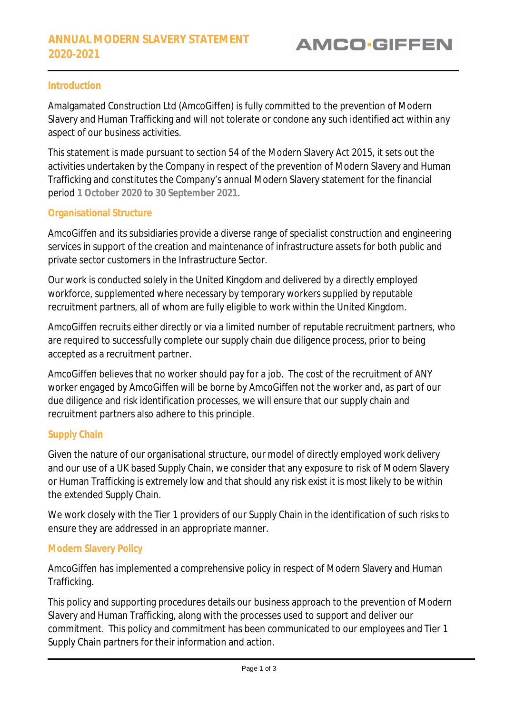### **Introduction**

Amalgamated Construction Ltd (AmcoGiffen) is fully committed to the prevention of Modern Slavery and Human Trafficking and will not tolerate or condone any such identified act within any aspect of our business activities.

This statement is made pursuant to section 54 of the Modern Slavery Act 2015, it sets out the activities undertaken by the Company in respect of the prevention of Modern Slavery and Human Trafficking and constitutes the Company's annual Modern Slavery statement for the financial period **1 October 2020 to 30 September 2021**.

#### **Organisational Structure**

AmcoGiffen and its subsidiaries provide a diverse range of specialist construction and engineering services in support of the creation and maintenance of infrastructure assets for both public and private sector customers in the Infrastructure Sector.

Our work is conducted solely in the United Kingdom and delivered by a directly employed workforce, supplemented where necessary by temporary workers supplied by reputable recruitment partners, all of whom are fully eligible to work within the United Kingdom.

AmcoGiffen recruits either directly or via a limited number of reputable recruitment partners, who are required to successfully complete our supply chain due diligence process, prior to being accepted as a recruitment partner.

AmcoGiffen believes that no worker should pay for a job. The cost of the recruitment of ANY worker engaged by AmcoGiffen will be borne by AmcoGiffen not the worker and, as part of our due diligence and risk identification processes, we will ensure that our supply chain and recruitment partners also adhere to this principle.

### **Supply Chain**

Given the nature of our organisational structure, our model of directly employed work delivery and our use of a UK based Supply Chain, we consider that any exposure to risk of Modern Slavery or Human Trafficking is extremely low and that should any risk exist it is most likely to be within the extended Supply Chain.

We work closely with the Tier 1 providers of our Supply Chain in the identification of such risks to ensure they are addressed in an appropriate manner.

### **Modern Slavery Policy**

AmcoGiffen has implemented a comprehensive policy in respect of Modern Slavery and Human Trafficking.

This policy and supporting procedures details our business approach to the prevention of Modern Slavery and Human Trafficking, along with the processes used to support and deliver our commitment. This policy and commitment has been communicated to our employees and Tier 1 Supply Chain partners for their information and action.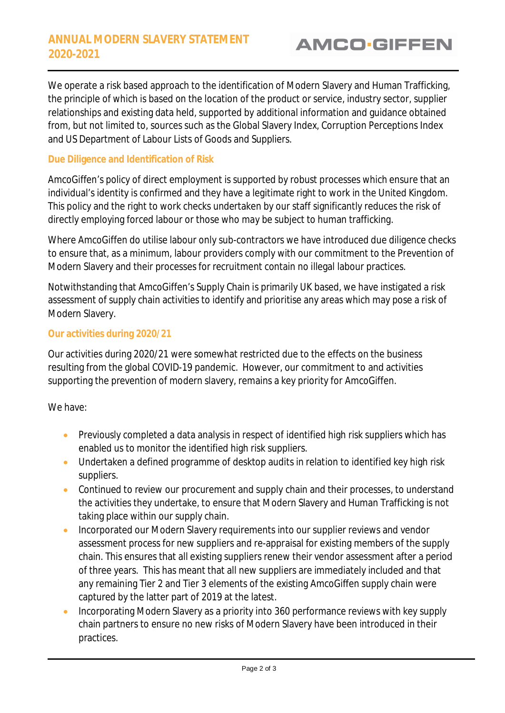We operate a risk based approach to the identification of Modern Slavery and Human Trafficking, the principle of which is based on the location of the product or service, industry sector, supplier relationships and existing data held, supported by additional information and guidance obtained from, but not limited to, sources such as the Global Slavery Index, Corruption Perceptions Index and US Department of Labour Lists of Goods and Suppliers.

## **Due Diligence and Identification of Risk**

AmcoGiffen's policy of direct employment is supported by robust processes which ensure that an individual's identity is confirmed and they have a legitimate right to work in the United Kingdom. This policy and the right to work checks undertaken by our staff significantly reduces the risk of directly employing forced labour or those who may be subject to human trafficking.

Where AmcoGiffen do utilise labour only sub-contractors we have introduced due diligence checks to ensure that, as a minimum, labour providers comply with our commitment to the Prevention of Modern Slavery and their processes for recruitment contain no illegal labour practices.

Notwithstanding that AmcoGiffen's Supply Chain is primarily UK based, we have instigated a risk assessment of supply chain activities to identify and prioritise any areas which may pose a risk of Modern Slavery.

### **Our activities during 2020/21**

Our activities during 2020/21 were somewhat restricted due to the effects on the business resulting from the global COVID-19 pandemic. However, our commitment to and activities supporting the prevention of modern slavery, remains a key priority for AmcoGiffen.

We have:

- Previously completed a data analysis in respect of identified high risk suppliers which has enabled us to monitor the identified high risk suppliers.
- Undertaken a defined programme of desktop audits in relation to identified key high risk suppliers.
- Continued to review our procurement and supply chain and their processes, to understand the activities they undertake, to ensure that Modern Slavery and Human Trafficking is not taking place within our supply chain.
- **Incorporated our Modern Slavery requirements into our supplier reviews and vendor** assessment process for new suppliers and re-appraisal for existing members of the supply chain. This ensures that all existing suppliers renew their vendor assessment after a period of three years. This has meant that all new suppliers are immediately included and that any remaining Tier 2 and Tier 3 elements of the existing AmcoGiffen supply chain were captured by the latter part of 2019 at the latest.
- Incorporating Modern Slavery as a priority into 360 performance reviews with key supply chain partners to ensure no new risks of Modern Slavery have been introduced in their practices.